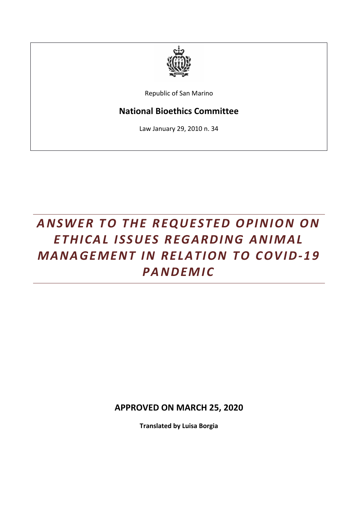

Republic of San Marino

## **National Bioethics Committee**

Law January 29, 2010 n. 34

## ANSWER TO THE REQUESTED OPINION ON *ET HI C A L I S S U ES R EG A R DI N G A N I M A L MANAGEMENT IN RELATION TO COVID-19 PA N DEM I C*

**APPROVED ON MARCH 25, 2020**

**Translated by Luisa Borgia**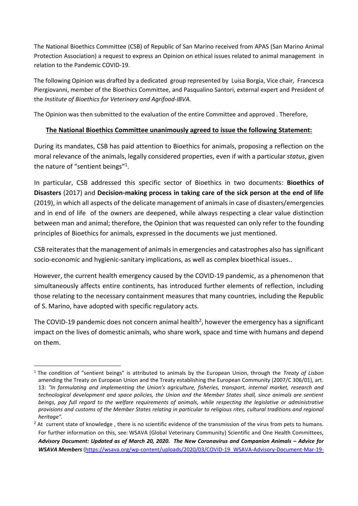The National Bioethics Committee (CSB) of Republic of San Marino received from APAS (San Marino Animal Protection Association) a request to express an Opinion on ethical issues related to animal management in relation to the Pandemic COVID-19.

The following Opinion was drafted by a dedicated group represented by Luisa Borgia, Vice chair, Francesca Piergiovanni, member of the Bioethics Committee, and Pasqualino Santori, external expert and President of the *Institute of Bioethics for Veterinary and Agrifood-IBVA.*

The Opinion was then submitted to the evaluation of the entire Committee and approved . Therefore,

## **The National Bioethics Committee unanimously agreed to issue the following Statement:**

During its mandates, CSB has paid attention to Bioethics for animals, proposing a reflection on the moral relevance of the animals, legally considered properties, even if with a particular *status*, given the nature of "sentient beings"<sup>1</sup>.

In particular, CSB addressed this specific sector of Bioethics in two documents: **Bioethics of Disasters** (2017) and **Decision-making process in taking care of the sick person at the end of life** (2019), in which all aspects of the delicate management of animals in case of disasters/emergencies and in end of life of the owners are deepened, while always respecting a clear value distinction between man and animal; therefore, the Opinion that was requested can only refer to the founding principles of Bioethics for animals, expressed in the documents we just mentioned.

CSB reiterates that the management of animals in emergencies and catastrophes also has significant socio-economic and hygienic-sanitary implications, as well as complex bioethical issues..

However, the current health emergency caused by the COVID-19 pandemic, as a phenomenon that simultaneously affects entire continents, has introduced further elements of reflection, including those relating to the necessary containment measures that many countries, including the Republic of S. Marino, have adopted with specific regulatory acts.

The COVID-19 pandemic does not concern animal health<sup>2</sup>, however the emergency has a significant impact on the lives of domestic animals, who share work, space and time with humans and depend on them.

<sup>1</sup> The condition of "sentient beings" is attributed to animals by the European Union, through the *Treaty of Lisbon* amending the Treaty on European Union and the Treaty establishing the European Community (2007/C 306/01), art. 13: *"In formulating and implementing the Union's agriculture, fisheries, transport, internal market, research and technological development and space policies, the Union and the Member States shall, since animals are sentient*  beings, pay full regard to the welfare requirements of animals, while respecting the legislative or administrative *provisions and customs of the Member States relating in particular to religious rites, cultural traditions and regional heritage".*

<sup>&</sup>lt;sup>2</sup> At current state of knowledge, there is no scientific evidence of the transmission of the virus from pets to humans. For further information on this, see: WSAVA (Global Veterinary Community) Scientific and One Health Committees, Advisory Document: Updated as of March 20, 2020. The New Coronavirus and Companion Animals – Advice for *WSAVA Members* [\(https://wsava.org/wp-content/uploads/2020/03/COVID-19\\_WSAVA-Advisory-Document-Mar-19-](https://wsava.org/wp-content/uploads/2020/03/COVID-19_WSAVA-Advisory-Document-Mar-19-2020.pdf)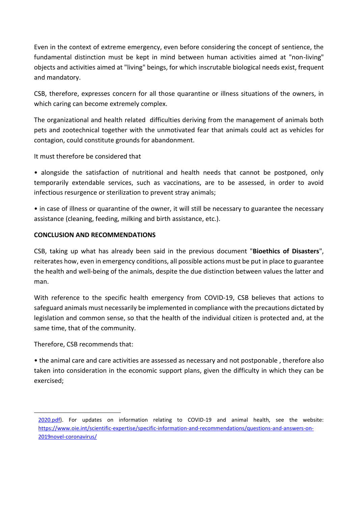Even in the context of extreme emergency, even before considering the concept of sentience, the fundamental distinction must be kept in mind between human activities aimed at "non-living" objects and activities aimed at "living" beings, for which inscrutable biological needs exist, frequent and mandatory.

CSB, therefore, expresses concern for all those quarantine or illness situations of the owners, in which caring can become extremely complex.

The organizational and health related difficulties deriving from the management of animals both pets and zootechnical together with the unmotivated fear that animals could act as vehicles for contagion, could constitute grounds for abandonment.

It must therefore be considered that

• alongside the satisfaction of nutritional and health needs that cannot be postponed, only temporarily extendable services, such as vaccinations, are to be assessed, in order to avoid infectious resurgence or sterilization to prevent stray animals;

• in case of illness or quarantine of the owner, it will still be necessary to guarantee the necessary assistance (cleaning, feeding, milking and birth assistance, etc.).

## **CONCLUSION AND RECOMMENDATIONS**

CSB, taking up what has already been said in the previous document "**Bioethics of Disasters**", reiterates how, even in emergency conditions, all possible actions must be put in place to guarantee the health and well-being of the animals, despite the due distinction between values the latter and man.

With reference to the specific health emergency from COVID-19, CSB believes that actions to safeguard animals must necessarily be implemented in compliance with the precautions dictated by legislation and common sense, so that the health of the individual citizen is protected and, at the same time, that of the community.

Therefore, CSB recommends that:

• the animal care and care activities are assessed as necessary and not postponable , therefore also taken into consideration in the economic support plans, given the difficulty in which they can be exercised;

[<sup>2020.</sup>pdf\)](https://wsava.org/wp-content/uploads/2020/03/COVID-19_WSAVA-Advisory-Document-Mar-19-2020.pdf). For updates on information relating to COVID-19 and animal health, see the website: [https://www.oie.int/scientific-expertise/specific-information-and-recommendations/questions-and-answers-on-](https://www.oie.int/scientific-expertise/specific-information-and-recommendations/questions-and-answers-on-2019novel-coronavirus/)[2019novel-coronavirus/](https://www.oie.int/scientific-expertise/specific-information-and-recommendations/questions-and-answers-on-2019novel-coronavirus/)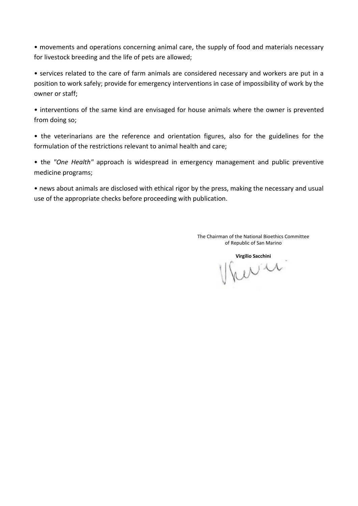• movements and operations concerning animal care, the supply of food and materials necessary for livestock breeding and the life of pets are allowed;

• services related to the care of farm animals are considered necessary and workers are put in a position to work safely; provide for emergency interventions in case of impossibility of work by the owner or staff;

• interventions of the same kind are envisaged for house animals where the owner is prevented from doing so;

• the veterinarians are the reference and orientation figures, also for the guidelines for the formulation of the restrictions relevant to animal health and care;

• the *"One Health"* approach is widespread in emergency management and public preventive medicine programs;

• news about animals are disclosed with ethical rigor by the press, making the necessary and usual use of the appropriate checks before proceeding with publication.

> The Chairman of the National Bioethics Committee of Republic of San Marino

**Virgilio Sacchini**